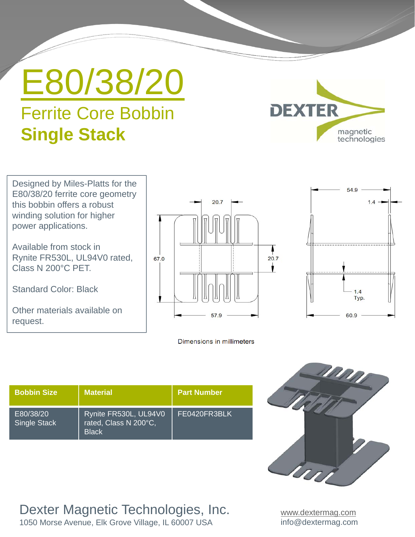## E80/38/20 Ferrite Core Bobbin **Single Stack**



Designed by Miles-Platts for the E80/38/20 ferrite core geometry this bobbin offers a robust winding solution for higher power applications.

Available from stock in Rynite FR530L, UL94V0 rated, Class N 200°C PET.

Standard Color: Black

Other materials available on request.



Dimensions in millimeters



| <b>Bobbin Size</b>               | <b>Material</b>                                                | <b>Part Number</b> |
|----------------------------------|----------------------------------------------------------------|--------------------|
| E80/38/20<br><b>Single Stack</b> | Rynite FR530L, UL94V0<br>rated, Class N 200°C,<br><b>Black</b> | FE0420FR3BLK       |

Dexter Magnetic Technologies, Inc.

1050 Morse Avenue, Elk Grove Village, IL 60007 USA

MM U

> www.dextermag.com info@dextermag.com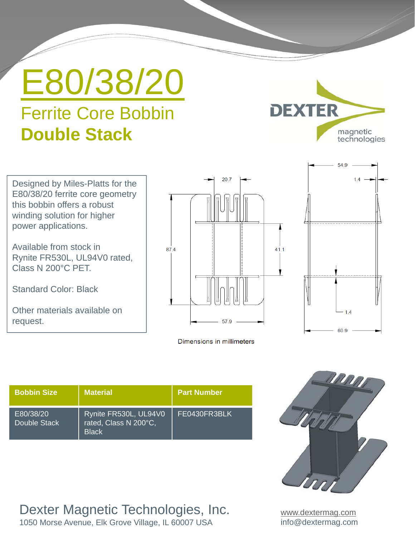## E80/38/20 Ferrite Core Bobbin **Double Stack**



Designed by Miles-Platts for the E80/38/20 ferrite core geometry this bobbin offers a robust winding solution for higher power applications.

Available from stock in Rynite FR530L, UL94V0 rated, Class N 200°C PET.

Standard Color: Black

Other materials available on request.



Dimensions in millimeters



| <b>Bobbin Size</b>        | <b>Material</b>                                                | <b>Part Number</b> |
|---------------------------|----------------------------------------------------------------|--------------------|
| E80/38/20<br>Double Stack | Rynite FR530L, UL94V0<br>rated, Class N 200°C,<br><b>Black</b> | FE0430FR3BLK       |

Dexter Magnetic Technologies, Inc.

1050 Morse Avenue, Elk Grove Village, IL 60007 USA



www.dextermag.com info@dextermag.com